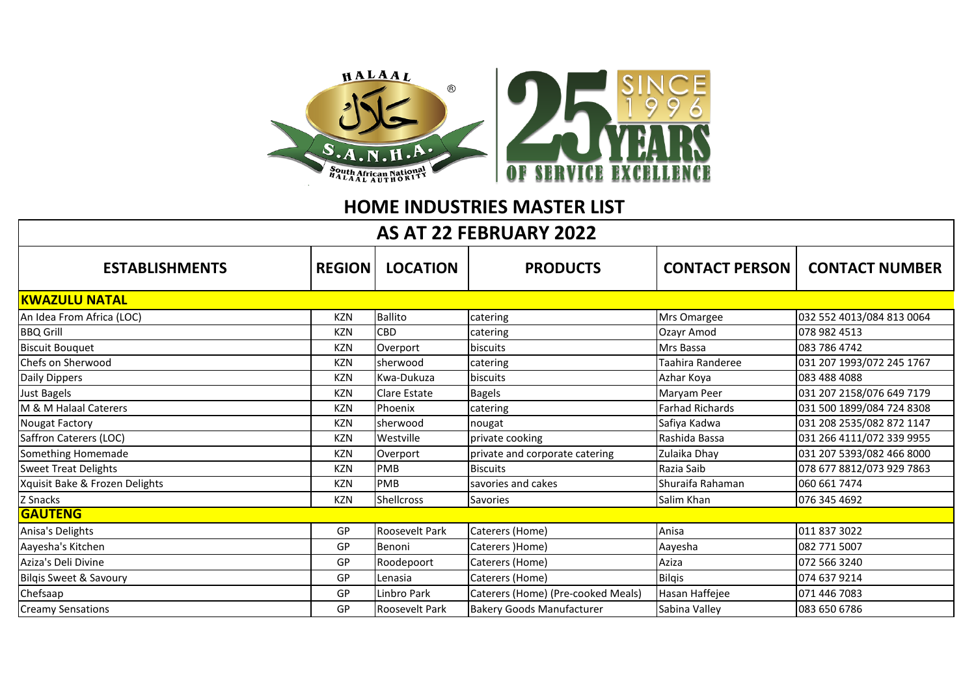

## **HOME INDUSTRIES MASTER LIST**

## **AS AT 22 FEBRUARY 2022**

| <b>ESTABLISHMENTS</b>          | <b>REGION</b> | <b>LOCATION</b>       | <b>PRODUCTS</b>                    | <b>CONTACT PERSON</b>  | <b>CONTACT NUMBER</b>     |  |  |  |
|--------------------------------|---------------|-----------------------|------------------------------------|------------------------|---------------------------|--|--|--|
| <b>KWAZULU NATAL</b>           |               |                       |                                    |                        |                           |  |  |  |
| An Idea From Africa (LOC)      | <b>KZN</b>    | <b>Ballito</b>        | catering                           | Mrs Omargee            | 032 552 4013/084 813 0064 |  |  |  |
| <b>BBQ Grill</b>               | <b>KZN</b>    | CBD                   | catering                           | Ozayr Amod             | 078 982 4513              |  |  |  |
| <b>Biscuit Bouguet</b>         | <b>KZN</b>    | Overport              | <b>biscuits</b>                    | Mrs Bassa              | 083 786 4742              |  |  |  |
| Chefs on Sherwood              | <b>KZN</b>    | Isherwood             | catering                           | Taahira Randeree       | 031 207 1993/072 245 1767 |  |  |  |
| Daily Dippers                  | <b>KZN</b>    | Kwa-Dukuza            | biscuits                           | Azhar Koya             | 083 488 4088              |  |  |  |
| Just Bagels                    | <b>KZN</b>    | Clare Estate          | <b>Bagels</b>                      | Maryam Peer            | 031 207 2158/076 649 7179 |  |  |  |
| M & M Halaal Caterers          | <b>KZN</b>    | Phoenix               | catering                           | <b>Farhad Richards</b> | 031 500 1899/084 724 8308 |  |  |  |
| <b>Nougat Factory</b>          | <b>KZN</b>    | sherwood              | nougat                             | Safiya Kadwa           | 031 208 2535/082 872 1147 |  |  |  |
| Saffron Caterers (LOC)         | <b>KZN</b>    | Westville             | private cooking                    | Rashida Bassa          | 031 266 4111/072 339 9955 |  |  |  |
| Something Homemade             | <b>KZN</b>    | Overport              | private and corporate catering     | Zulaika Dhay           | 031 207 5393/082 466 8000 |  |  |  |
| <b>Sweet Treat Delights</b>    | <b>KZN</b>    | PMB                   | <b>Biscuits</b>                    | Razia Saib             | 078 677 8812/073 929 7863 |  |  |  |
| Xquisit Bake & Frozen Delights | <b>KZN</b>    | <b>PMB</b>            | savories and cakes                 | Shuraifa Rahaman       | 060 661 7474              |  |  |  |
| Z Snacks                       | <b>KZN</b>    | Shellcross            | Savories                           | Salim Khan             | 076 345 4692              |  |  |  |
| <b>GAUTENG</b>                 |               |                       |                                    |                        |                           |  |  |  |
| Anisa's Delights               | GP            | <b>Roosevelt Park</b> | Caterers (Home)                    | Anisa                  | 011 837 3022              |  |  |  |
| Aayesha's Kitchen              | GP            | Benoni                | Caterers )Home)                    | Aayesha                | 082 771 5007              |  |  |  |
| Aziza's Deli Divine            | GP            | Roodepoort            | Caterers (Home)                    | Aziza                  | 072 566 3240              |  |  |  |
| Bilgis Sweet & Savoury         | GP            | Lenasia               | Caterers (Home)                    | <b>Bilgis</b>          | 074 637 9214              |  |  |  |
| Chefsaap                       | GP            | Linbro Park           | Caterers (Home) (Pre-cooked Meals) | Hasan Haffejee         | 071 446 7083              |  |  |  |
| <b>Creamy Sensations</b>       | GP            | <b>Roosevelt Park</b> | <b>Bakery Goods Manufacturer</b>   | Sabina Valley          | 083 650 6786              |  |  |  |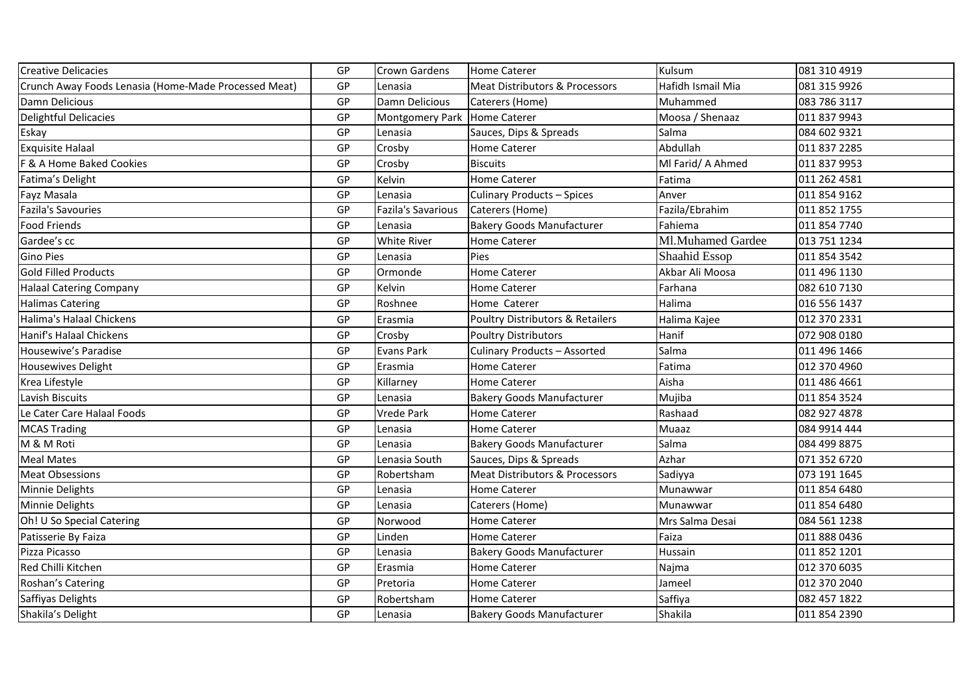| <b>Creative Delicacies</b>                           | GP | Crown Gardens                | <b>Home Caterer</b>                       | Kulsum            | 081 310 4919 |
|------------------------------------------------------|----|------------------------------|-------------------------------------------|-------------------|--------------|
| Crunch Away Foods Lenasia (Home-Made Processed Meat) | GP | Lenasia                      | <b>Meat Distributors &amp; Processors</b> | Hafidh Ismail Mia | 081 315 9926 |
| Damn Delicious                                       | GP | Damn Delicious               | Caterers (Home)                           | Muhammed          | 083 786 3117 |
| Delightful Delicacies                                | GP | Montgomery Park Home Caterer |                                           | Moosa / Shenaaz   | 011 837 9943 |
| Eskay                                                | GP | Lenasia                      | Sauces, Dips & Spreads                    | Salma             | 084 602 9321 |
| <b>Exquisite Halaal</b>                              | GP | Crosby                       | <b>Home Caterer</b>                       | Abdullah          | 011 837 2285 |
| F & A Home Baked Cookies                             | GP | Crosby                       | <b>Biscuits</b>                           | MI Farid/ A Ahmed | 011 837 9953 |
| Fatima's Delight                                     | GP | Kelvin                       | <b>Home Caterer</b>                       | Fatima            | 011 262 4581 |
| Fayz Masala                                          | GP | Lenasia                      | <b>Culinary Products - Spices</b>         | Anver             | 011 854 9162 |
| Fazila's Savouries                                   | GP | <b>Fazila's Savarious</b>    | Caterers (Home)                           | Fazila/Ebrahim    | 011 852 1755 |
| <b>Food Friends</b>                                  | GP | Lenasia                      | <b>Bakery Goods Manufacturer</b>          | Fahiema           | 011 854 7740 |
| Gardee's cc                                          | GP | <b>White River</b>           | Home Caterer                              | Ml.Muhamed Gardee | 013 751 1234 |
| <b>Gino Pies</b>                                     | GP | Lenasia                      | Pies                                      | Shaahid Essop     | 011 854 3542 |
| <b>Gold Filled Products</b>                          | GP | Ormonde                      | <b>Home Caterer</b>                       | Akbar Ali Moosa   | 011 496 1130 |
| <b>Halaal Catering Company</b>                       | GP | Kelvin                       | <b>Home Caterer</b>                       | Farhana           | 082 610 7130 |
| <b>Halimas Catering</b>                              | GP | Roshnee                      | Home Caterer                              | Halima            | 016 556 1437 |
| Halima's Halaal Chickens                             | GP | Erasmia                      | Poultry Distributors & Retailers          | Halima Kajee      | 012 370 2331 |
| Hanif's Halaal Chickens                              | GP | Crosby                       | <b>Poultry Distributors</b>               | Hanif             | 072 908 0180 |
| Housewive's Paradise                                 | GP | <b>Evans Park</b>            | <b>Culinary Products - Assorted</b>       | Salma             | 011 496 1466 |
| <b>Housewives Delight</b>                            | GP | Erasmia                      | <b>Home Caterer</b>                       | Fatima            | 012 370 4960 |
| Krea Lifestyle                                       | GP | Killarney                    | <b>Home Caterer</b>                       | Aisha             | 011 486 4661 |
| Lavish Biscuits                                      | GP | Lenasia                      | <b>Bakery Goods Manufacturer</b>          | Mujiba            | 011 854 3524 |
| Le Cater Care Halaal Foods                           | GP | <b>Vrede Park</b>            | <b>Home Caterer</b>                       | Rashaad           | 082 927 4878 |
| <b>MCAS Trading</b>                                  | GP | Lenasia                      | <b>Home Caterer</b>                       | Muaaz             | 084 9914 444 |
| M & M Roti                                           | GP | Lenasia                      | <b>Bakery Goods Manufacturer</b>          | Salma             | 084 499 8875 |
| <b>Meal Mates</b>                                    | GP | Lenasia South                | Sauces, Dips & Spreads                    | Azhar             | 071 352 6720 |
| <b>Meat Obsessions</b>                               | GP | Robertsham                   | Meat Distributors & Processors            | Sadiyya           | 073 191 1645 |
| Minnie Delights                                      | GP | Lenasia                      | <b>Home Caterer</b>                       | Munawwar          | 011 854 6480 |
| Minnie Delights                                      | GP | Lenasia                      | Caterers (Home)                           | Munawwar          | 011 854 6480 |
| Oh! U So Special Catering                            | GP | Norwood                      | <b>Home Caterer</b>                       | Mrs Salma Desai   | 084 561 1238 |
| Patisserie By Faiza                                  | GP | Linden                       | <b>Home Caterer</b>                       | Faiza             | 011 888 0436 |
| Pizza Picasso                                        | GP | Lenasia                      | <b>Bakery Goods Manufacturer</b>          | Hussain           | 011 852 1201 |
| Red Chilli Kitchen                                   | GP | Erasmia                      | Home Caterer                              | Najma             | 012 370 6035 |
| Roshan's Catering                                    | GP | Pretoria                     | <b>Home Caterer</b>                       | Jameel            | 012 370 2040 |
| Saffiyas Delights                                    | GP | Robertsham                   | <b>Home Caterer</b>                       | Saffiya           | 082 457 1822 |
| Shakila's Delight                                    | GP | Lenasia                      | <b>Bakery Goods Manufacturer</b>          | Shakila           | 011 854 2390 |